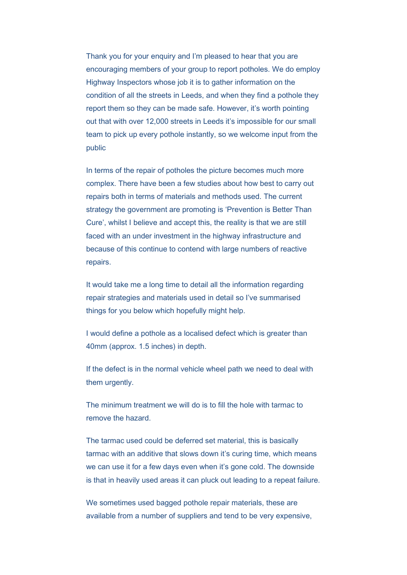Thank you for your enquiry and I'm pleased to hear that you are encouraging members of your group to report potholes. We do employ Highway Inspectors whose job it is to gather information on the condition of all the streets in Leeds, and when they find a pothole they report them so they can be made safe. However, it's worth pointing out that with over 12,000 streets in Leeds it's impossible for our small team to pick up every pothole instantly, so we welcome input from the public

In terms of the repair of potholes the picture becomes much more complex. There have been a few studies about how best to carry out repairs both in terms of materials and methods used. The current strategy the government are promoting is 'Prevention is Better Than Cure', whilst I believe and accept this, the reality is that we are still faced with an under investment in the highway infrastructure and because of this continue to contend with large numbers of reactive repairs.

It would take me a long time to detail all the information regarding repair strategies and materials used in detail so I've summarised things for you below which hopefully might help.

I would define a pothole as a localised defect which is greater than 40mm (approx. 1.5 inches) in depth.

If the defect is in the normal vehicle wheel path we need to deal with them urgently.

The minimum treatment we will do is to fill the hole with tarmac to remove the hazard.

The tarmac used could be deferred set material, this is basically tarmac with an additive that slows down it's curing time, which means we can use it for a few days even when it's gone cold. The downside is that in heavily used areas it can pluck out leading to a repeat failure.

We sometimes used bagged pothole repair materials, these are available from a number of suppliers and tend to be very expensive,